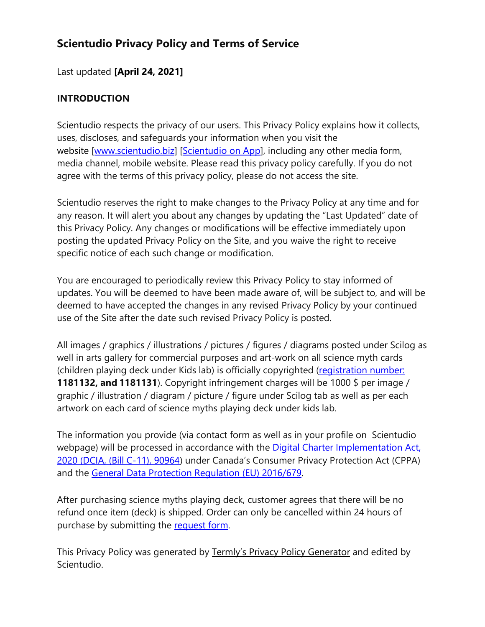# **Scientudio Privacy Policy and Terms of Service**

## Last updated **[April 24, 2021]**

### **INTRODUCTION**

Scientudio respects the privacy of our users. This Privacy Policy explains how it collects, uses, discloses, and safeguards your information when you visit the website [www.scientudio.biz] [\[Scientudio on App\]](https://apps.wix.com/place-invites/invite-lp/fe001bfa-99cd-4231-b8e3-62ac01fd1079?ref=pre_banner), including any other media form, media channel, mobile website. Please read this privacy policy carefully. If you do not agree with the terms of this privacy policy, please do not access the site.

Scientudio reserves the right to make changes to the Privacy Policy at any time and for any reason. It will alert you about any changes by updating the "Last Updated" date of this Privacy Policy. Any changes or modifications will be effective immediately upon posting the updated Privacy Policy on the Site, and you waive the right to receive specific notice of each such change or modification.

You are encouraged to periodically review this Privacy Policy to stay informed of updates. You will be deemed to have been made aware of, will be subject to, and will be deemed to have accepted the changes in any revised Privacy Policy by your continued use of the Site after the date such revised Privacy Policy is posted.

All images / graphics / illustrations / pictures / figures / diagrams posted under Scilog as well in arts gallery for commercial purposes and art-work on all science myth cards (children playing deck under Kids lab) is officially copyrighted [\(registration number:](https://www.ic.gc.ca/app/opic-cipo/cpyrghts/srch.do?lang=eng&page=1&searchCriteriaBean.textField1=noeen&searchCriteriaBean.column1=COP_AUTHOR_SEARCH&submitButton=Search&searchCriteriaBean.andOr1=and&searchCriteriaBean.textField2=&searchCriteriaBean.column2=TITLE&searchCriteriaBean.andOr2=and&searchCriteriaBean.textField3=&searchCriteriaBean.column3=TITLE&searchCriteriaBean.type=&searchCriteriaBean.dateStart=&searchCriteriaBean.dateEnd=&searchCriteriaBean.sortSpec=&searchCriteriaBean.maxDocCount=200&searchCriteriaBean.docsPerPage=10) **1181132, and 1181131**). Copyright infringement charges will be 1000 \$ per image / graphic / illustration / diagram / picture / figure under Scilog tab as well as per each artwork on each card of science myths playing deck under kids lab.

The information you provide (via contact form as well as in your profile on Scientudio webpage) will be processed in accordance with the [Digital Charter Implementation Act,](https://parl.ca/DocumentViewer/en/43-2/bill/C-11/first-reading)  [2020 \(DCIA, \(Bill C-11\), 90964\)](https://parl.ca/DocumentViewer/en/43-2/bill/C-11/first-reading) under Canada's Consumer Privacy Protection Act (CPPA) and the [General Data Protection Regulation \(EU\) 2016/679.](https://eur-lex.europa.eu/eli/reg/2016/679/oj)

After purchasing science myths playing deck, customer agrees that there will be no refund once item (deck) is shipped. Order can only be cancelled within 24 hours of purchase by submitting the request form.

This Privacy Policy was generated by [Termly's Privacy Policy Generator](https://termly.io/products/privacy-policy-generator/) and edited by Scientudio.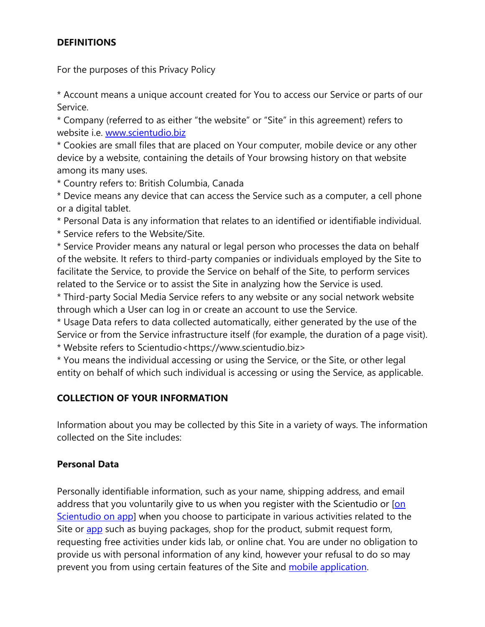### **DEFINITIONS**

For the purposes of this Privacy Policy

\* Account means a unique account created for You to access our Service or parts of our Service.

\* Company (referred to as either "the website" or "Site" in this agreement) refers to website i.e. [www.scientudio.biz](http://www.scientudio.biz/)

\* Cookies are small files that are placed on Your computer, mobile device or any other device by a website, containing the details of Your browsing history on that website among its many uses.

\* Country refers to: British Columbia, Canada

\* Device means any device that can access the Service such as a computer, a cell phone or a digital tablet.

\* Personal Data is any information that relates to an identified or identifiable individual.

\* Service refers to the Website/Site.

\* Service Provider means any natural or legal person who processes the data on behalf of the website. It refers to third-party companies or individuals employed by the Site to facilitate the Service, to provide the Service on behalf of the Site, to perform services related to the Service or to assist the Site in analyzing how the Service is used.

\* Third-party Social Media Service refers to any website or any social network website through which a User can log in or create an account to use the Service.

\* Usage Data refers to data collected automatically, either generated by the use of the Service or from the Service infrastructure itself (for example, the duration of a page visit). \* Website refers to Scientudio<https://www.scientudio.biz>

\* You means the individual accessing or using the Service, or the Site, or other legal entity on behalf of which such individual is accessing or using the Service, as applicable.

### **COLLECTION OF YOUR INFORMATION**

Information about you may be collected by this Site in a variety of ways. The information collected on the Site includes:

### **Personal Data**

Personally identifiable information, such as your name, shipping address, and email address that you voluntarily give to us when you register with the Scientudio or [\[on](https://apps.wix.com/place-invites/invite-lp/fe001bfa-99cd-4231-b8e3-62ac01fd1079?ref=pre_banner) [Scientudio on app\]](https://apps.wix.com/place-invites/invite-lp/fe001bfa-99cd-4231-b8e3-62ac01fd1079?ref=pre_banner) when you choose to participate in various activities related to the Site or [app](https://apps.wix.com/place-invites/invite-lp/fe001bfa-99cd-4231-b8e3-62ac01fd1079?ref=pre_banner) such as buying packages, shop for the product, submit request form, requesting free activities under kids lab, or online chat. You are under no obligation to provide us with personal information of any kind, however your refusal to do so may prevent you from using certain features of the Site and [mobile application.](https://apps.wix.com/place-invites/invite-lp/fe001bfa-99cd-4231-b8e3-62ac01fd1079?ref=pre_banner)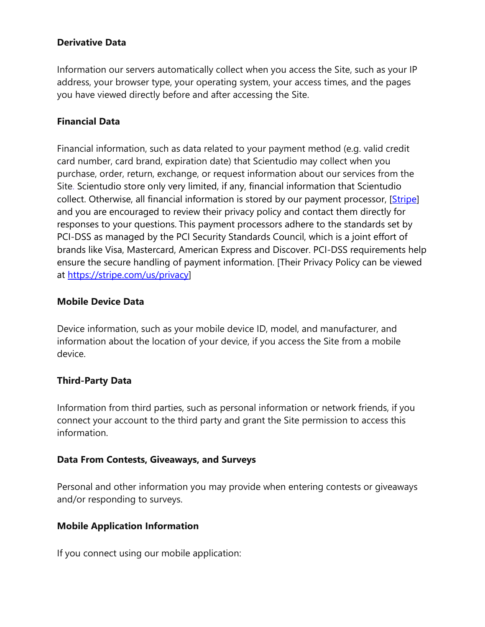### **Derivative Data**

Information our servers automatically collect when you access the Site, such as your IP address, your browser type, your operating system, your access times, and the pages you have viewed directly before and after accessing the Site.

#### **Financial Data**

Financial information, such as data related to your payment method (e.g. valid credit card number, card brand, expiration date) that Scientudio may collect when you purchase, order, return, exchange, or request information about our services from the Site. Scientudio store only very limited, if any, financial information that Scientudio collect. Otherwise, all financial information is stored by our payment processor, [\[Stripe\]](https://stripe.com/en-ca?utm_campaign=paid_brand-CA_en_Search_Brand_Stripe-952122622&utm_medium=cpc&utm_source=google&ad_content=275961462204&utm_term=stripe&utm_matchtype=e&utm_adposition=&utm_device=c&gclid=Cj0KCQjwsLWDBhCmARIsAPSL3_3KjfoONZEs-_8cIHKRBl7Q78PJScOzlhJxvh5KpYMTO29AMX4SMJQaAh8pEALw_wcB) and you are encouraged to review their privacy policy and contact them directly for responses to your questions. This payment processors adhere to the standards set by PCI-DSS as managed by the PCI Security Standards Council, which is a joint effort of brands like Visa, Mastercard, American Express and Discover. PCI-DSS requirements help ensure the secure handling of payment information. [Their Privacy Policy can be viewed at [https://stripe.com/us/privacy\]](https://stripe.com/us/privacy)

#### **Mobile Device Data**

Device information, such as your mobile device ID, model, and manufacturer, and information about the location of your device, if you access the Site from a mobile device.

### **Third-Party Data**

Information from third parties, such as personal information or network friends, if you connect your account to the third party and grant the Site permission to access this information.

#### **Data From Contests, Giveaways, and Surveys**

Personal and other information you may provide when entering contests or giveaways and/or responding to surveys.

### **Mobile Application Information**

If you connect using our mobile application: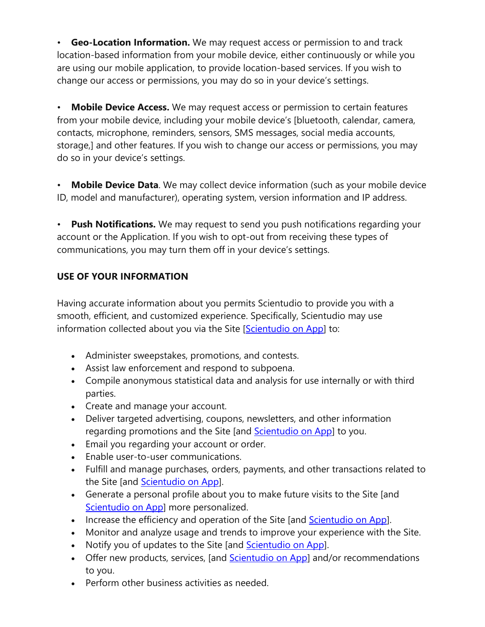• **Geo-Location Information.** We may request access or permission to and track location-based information from your mobile device, either continuously or while you are using our mobile application, to provide location-based services. If you wish to change our access or permissions, you may do so in your device's settings.

• **Mobile Device Access.** We may request access or permission to certain features from your mobile device, including your mobile device's [bluetooth, calendar, camera, contacts, microphone, reminders, sensors, SMS messages, social media accounts, storage,] and other features. If you wish to change our access or permissions, you may do so in your device's settings.

• **Mobile Device Data**. We may collect device information (such as your mobile device ID, model and manufacturer), operating system, version information and IP address.

• **Push Notifications.** We may request to send you push notifications regarding your account or the Application. If you wish to opt-out from receiving these types of communications, you may turn them off in your device's settings.

## **USE OF YOUR INFORMATION**

Having accurate information about you permits Scientudio to provide you with a smooth, efficient, and customized experience. Specifically, Scientudio may use information collected about you via the Site [\[Scientudio on App\]](https://apps.wix.com/place-invites/invite-lp/fe001bfa-99cd-4231-b8e3-62ac01fd1079?ref=pre_banner) to:

- Administer sweepstakes, promotions, and contests.
- Assist law enforcement and respond to subpoena.
- Compile anonymous statistical data and analysis for use internally or with third parties.
- Create and manage your account.
- Deliver targeted advertising, coupons, newsletters, and other information regarding promotions and the Site [and [Scientudio on App\]](https://apps.wix.com/place-invites/invite-lp/fe001bfa-99cd-4231-b8e3-62ac01fd1079?ref=pre_banner) to you.
- Email you regarding your account or order.
- Enable user-to-user communications.
- Fulfill and manage purchases, orders, payments, and other transactions related to the Site [and **Scientudio on App]**.
- Generate a personal profile about you to make future visits to the Site [and [Scientudio on App\]](https://apps.wix.com/place-invites/invite-lp/fe001bfa-99cd-4231-b8e3-62ac01fd1079?ref=pre_banner) more personalized.
- Increase the efficiency and operation of the Site [and [Scientudio on App\]](https://apps.wix.com/place-invites/invite-lp/fe001bfa-99cd-4231-b8e3-62ac01fd1079?ref=pre_banner).
- Monitor and analyze usage and trends to improve your experience with the Site.
- Notify you of updates to the Site [and [Scientudio on App\]](https://apps.wix.com/place-invites/invite-lp/fe001bfa-99cd-4231-b8e3-62ac01fd1079?ref=pre_banner).
- Offer new products, services, [and [Scientudio on App\]](https://apps.wix.com/place-invites/invite-lp/fe001bfa-99cd-4231-b8e3-62ac01fd1079?ref=pre_banner) and/or recommendations to you.
- Perform other business activities as needed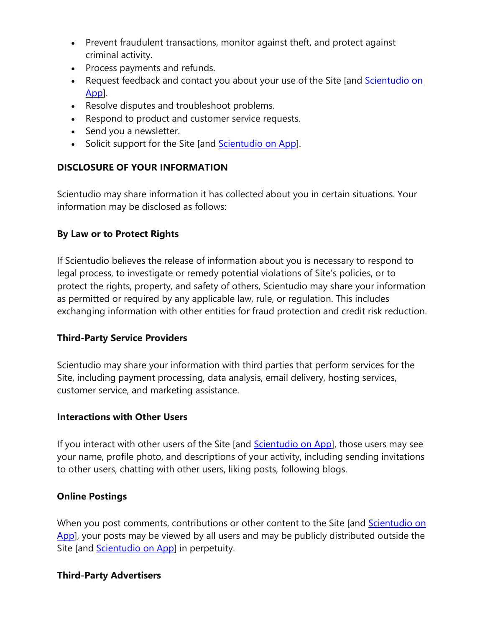- Prevent fraudulent transactions, monitor against theft, and protect against criminal activity.
- Process payments and refunds.
- Request feedback and contact you about your use of the Site [and Scientudio on [App\]](https://apps.wix.com/place-invites/invite-lp/fe001bfa-99cd-4231-b8e3-62ac01fd1079?ref=pre_banner).
- Resolve disputes and troubleshoot problems.
- Respond to product and customer service requests.
- Send you a newsletter.
- Solicit support for the Site [and [Scientudio on App\]](https://apps.wix.com/place-invites/invite-lp/fe001bfa-99cd-4231-b8e3-62ac01fd1079?ref=pre_banner).

### **DISCLOSURE OF YOUR INFORMATION**

Scientudio may share information it has collected about you in certain situations. Your information may be disclosed as follows:

### **By Law or to Protect Rights**

If Scientudio believes the release of information about you is necessary to respond to legal process, to investigate or remedy potential violations of Site's policies, or to protect the rights, property, and safety of others, Scientudio may share your information as permitted or required by any applicable law, rule, or regulation. This includes exchanging information with other entities for fraud protection and credit risk reduction.

### **Third-Party Service Providers**

Scientudio may share your information with third parties that perform services for the Site, including payment processing, data analysis, email delivery, hosting services, customer service, and marketing assistance.

### **Interactions with Other Users**

If you interact with other users of the Site [and [Scientudio on App\]](https://apps.wix.com/place-invites/invite-lp/fe001bfa-99cd-4231-b8e3-62ac01fd1079?ref=pre_banner), those users may see your name, profile photo, and descriptions of your activity, including sending invitations to other users, chatting with other users, liking posts, following blogs.

### **Online Postings**

When you post comments, contributions or other content to the Site [and Scientudio on [App\]](https://apps.wix.com/place-invites/invite-lp/fe001bfa-99cd-4231-b8e3-62ac01fd1079?ref=pre_banner), your posts may be viewed by all users and may be publicly distributed outside the Site [and **Scientudio on App**] in perpetuity.

### **Third-Party Advertisers**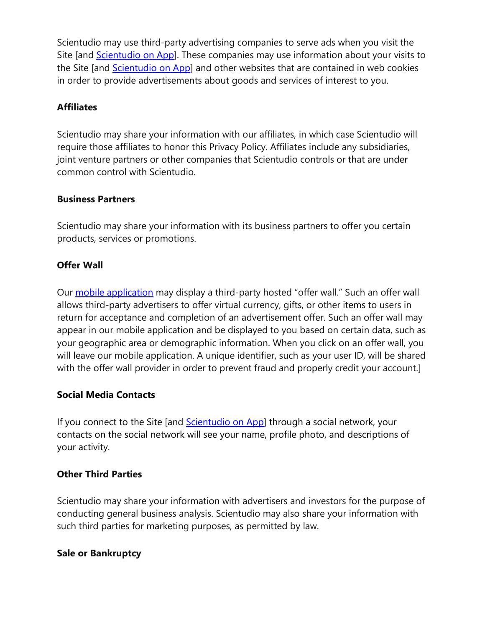Scientudio may use third-party advertising companies to serve ads when you visit the Site [and [Scientudio on App\]](https://apps.wix.com/place-invites/invite-lp/fe001bfa-99cd-4231-b8e3-62ac01fd1079?ref=pre_banner). These companies may use information about your visits to the Site [and [Scientudio on App\]](https://apps.wix.com/place-invites/invite-lp/fe001bfa-99cd-4231-b8e3-62ac01fd1079?ref=pre_banner) and other websites that are contained in web cookies in order to provide advertisements about goods and services of interest to you.

### **Affiliates**

Scientudio may share your information with our affiliates, in which case Scientudio will require those affiliates to honor this Privacy Policy. Affiliates include any subsidiaries, joint venture partners or other companies that Scientudio controls or that are under common control with Scientudio.

#### **Business Partners**

Scientudio may share your information with its business partners to offer you certain products, services or promotions.

### **Offer Wall**

Our [mobile application](https://apps.wix.com/place-invites/invite-lp/fe001bfa-99cd-4231-b8e3-62ac01fd1079?ref=pre_banner) may display a third-party hosted "offer wall." Such an offer wall allows third-party advertisers to offer virtual currency, gifts, or other items to users in return for acceptance and completion of an advertisement offer. Such an offer wall may appear in our mobile application and be displayed to you based on certain data, such as your geographic area or demographic information. When you click on an offer wall, you will leave our mobile application. A unique identifier, such as your user ID, will be shared with the offer wall provider in order to prevent fraud and properly credit your account.]

### **Social Media Contacts**

If you connect to the Site [and [Scientudio on App\]](https://apps.wix.com/place-invites/invite-lp/fe001bfa-99cd-4231-b8e3-62ac01fd1079?ref=pre_banner) through a social network, your contacts on the social network will see your name, profile photo, and descriptions of your activity.

### **Other Third Parties**

Scientudio may share your information with advertisers and investors for the purpose of conducting general business analysis. Scientudio may also share your information with such third parties for marketing purposes, as permitted by law.

### **Sale or Bankruptcy**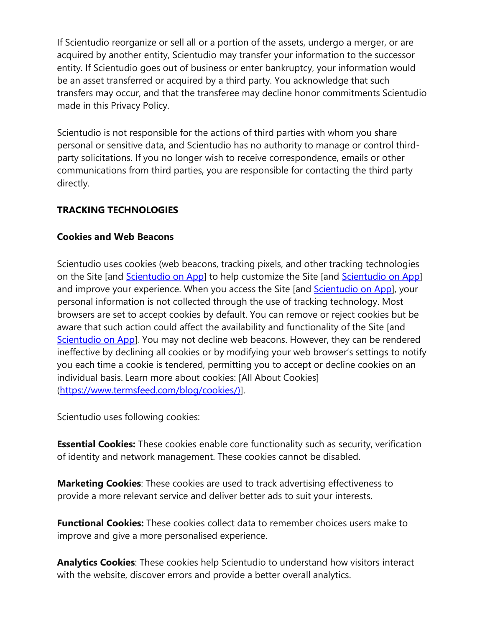If Scientudio reorganize or sell all or a portion of the assets, undergo a merger, or are acquired by another entity, Scientudio may transfer your information to the successor entity. If Scientudio goes out of business or enter bankruptcy, your information would be an asset transferred or acquired by a third party. You acknowledge that such transfers may occur, and that the transferee may decline honor commitments Scientudio made in this Privacy Policy.

Scientudio is not responsible for the actions of third parties with whom you share personal or sensitive data, and Scientudio has no authority to manage or control thirdparty solicitations. If you no longer wish to receive correspondence, emails or other communications from third parties, you are responsible for contacting the third party directly.

### **TRACKING TECHNOLOGIES**

### **Cookies and Web Beacons**

Scientudio uses cookies (web beacons, tracking pixels, and other tracking technologies on the Site [and [Scientudio on App\]](https://apps.wix.com/place-invites/invite-lp/fe001bfa-99cd-4231-b8e3-62ac01fd1079?ref=pre_banner) to help customize the Site [and Scientudio on App] and improve your experience. When you access the Site [and [Scientudio on App\]](https://apps.wix.com/place-invites/invite-lp/fe001bfa-99cd-4231-b8e3-62ac01fd1079?ref=pre_banner), your personal information is not collected through the use of tracking technology. Most browsers are set to accept cookies by default. You can remove or reject cookies but be aware that such action could affect the availability and functionality of the Site [and [Scientudio on App\]](https://apps.wix.com/place-invites/invite-lp/fe001bfa-99cd-4231-b8e3-62ac01fd1079?ref=pre_banner). You may not decline web beacons. However, they can be rendered ineffective by declining all cookies or by modifying your web browser's settings to notify you each time a cookie is tendered, permitting you to accept or decline cookies on an individual basis. Learn more about cookies: [All About Cookies] [\(https://www.termsfeed.com/blog/cookies/\)\]](https://www.termsfeed.com/blog/cookies/)).

Scientudio uses following cookies:

**Essential Cookies:** These cookies enable core functionality such as security, verification of identity and network management. These cookies cannot be disabled.

**Marketing Cookies**: These cookies are used to track advertising effectiveness to provide a more relevant service and deliver better ads to suit your interests.

**Functional Cookies:** These cookies collect data to remember choices users make to improve and give a more personalised experience.

**Analytics Cookies**: These cookies help Scientudio to understand how visitors interact with the website, discover errors and provide a better overall analytics.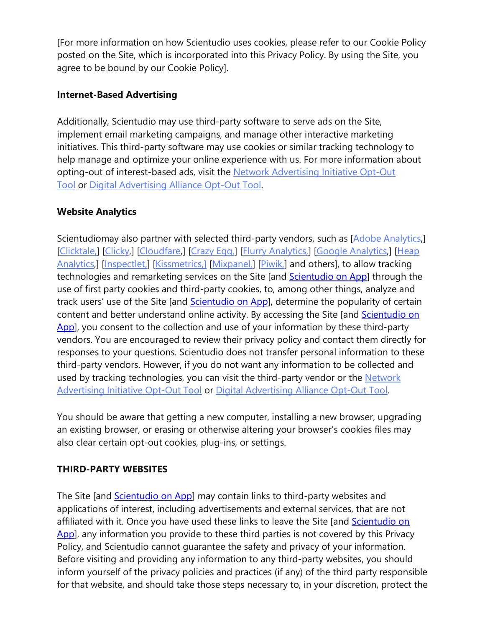[For more information on how Scientudio uses cookies, please refer to our Cookie Policy posted on the Site, which is incorporated into this Privacy Policy. By using the Site, you agree to be bound by our Cookie Policy].

### **Internet-Based Advertising**

Additionally, Scientudio may use third-party software to serve ads on the Site, implement email marketing campaigns, and manage other interactive marketing initiatives. This third-party software may use cookies or similar tracking technology to help manage and optimize your online experience with us. For more information about opting-out of interest-based ads, visit the [Network Advertising Initiative Opt-Out](http://optout.networkadvertising.org/?c=1)  [Tool](http://optout.networkadvertising.org/?c=1) or [Digital Advertising Alliance Opt-Out Tool.](https://optout.aboutads.info/?c=2&lang=EN)

### **Website Analytics**

Scientudiomay also partner with selected third-party vendors, such as [\[Adobe Analytics,](https://www.adobe.com/privacy/policy.html)] [\[Clicktale,\]](https://contentsquare.com/privacy-center/privacy-policy/) [\[Clicky,\]](https://clicky.com/terms) [\[Cloudfare,](https://www.cloudflare.com/privacypolicy/)] [\[Crazy Egg,\]](https://www.crazyegg.com/privacy/) [\[Flurry Analytics,\]](https://www.verizonmedia.com/policies/us/en/verizonmedia/privacy/products/developer/index.html) [\[Google Analytics,](https://support.google.com/analytics/answer/6004245?hl=en)] [\[Heap](https://heap.io/privacy)  [Analytics,](https://heap.io/privacy)] [\[Inspectlet,\]](https://www.inspectlet.com/legal#privacy) [\[Kissmetrics,\]](https://www.kissmetrics.io/privacy/) [\[Mixpanel,\]](https://mixpanel.com/legal/privacy-policy/) [\[Piwik,\]](https://matomo.org/privacy/) and others], to allow tracking technologies and remarketing services on the Site [and [Scientudio on App\]](https://apps.wix.com/place-invites/invite-lp/fe001bfa-99cd-4231-b8e3-62ac01fd1079?ref=pre_banner) through the use of first party cookies and third-party cookies, to, among other things, analyze and track users' use of the Site [and [Scientudio on App\]](https://apps.wix.com/place-invites/invite-lp/fe001bfa-99cd-4231-b8e3-62ac01fd1079?ref=pre_banner), determine the popularity of certain content and better understand online activity. By accessing the Site [and [Scientudio on](https://apps.wix.com/place-invites/invite-lp/fe001bfa-99cd-4231-b8e3-62ac01fd1079?ref=pre_banner)  [App\]](https://apps.wix.com/place-invites/invite-lp/fe001bfa-99cd-4231-b8e3-62ac01fd1079?ref=pre_banner), you consent to the collection and use of your information by these third-party vendors. You are encouraged to review their privacy policy and contact them directly for responses to your questions. Scientudio does not transfer personal information to these third-party vendors. However, if you do not want any information to be collected and used by tracking technologies, you can visit the third-party vendor or the [Network](https://optout.networkadvertising.org/?c=1)  [Advertising Initiative Opt-Out Tool](https://optout.networkadvertising.org/?c=1) or [Digital Advertising Alliance Opt-Out Tool.](https://optout.aboutads.info/?c=2&lang=EN)

You should be aware that getting a new computer, installing a new browser, upgrading an existing browser, or erasing or otherwise altering your browser's cookies files may also clear certain opt-out cookies, plug-ins, or settings.

### **THIRD-PARTY WEBSITES**

The Site [and **Scientudio on App**] may contain links to third-party websites and applications of interest, including advertisements and external services, that are not affiliated with it. Once you have used these links to leave the Site [and [Scientudio on](https://apps.wix.com/place-invites/invite-lp/fe001bfa-99cd-4231-b8e3-62ac01fd1079?ref=pre_banner)  [App\]](https://apps.wix.com/place-invites/invite-lp/fe001bfa-99cd-4231-b8e3-62ac01fd1079?ref=pre_banner), any information you provide to these third parties is not covered by this Privacy Policy, and Scientudio cannot guarantee the safety and privacy of your information. Before visiting and providing any information to any third-party websites, you should inform yourself of the privacy policies and practices (if any) of the third party responsible for that website, and should take those steps necessary to, in your discretion, protect the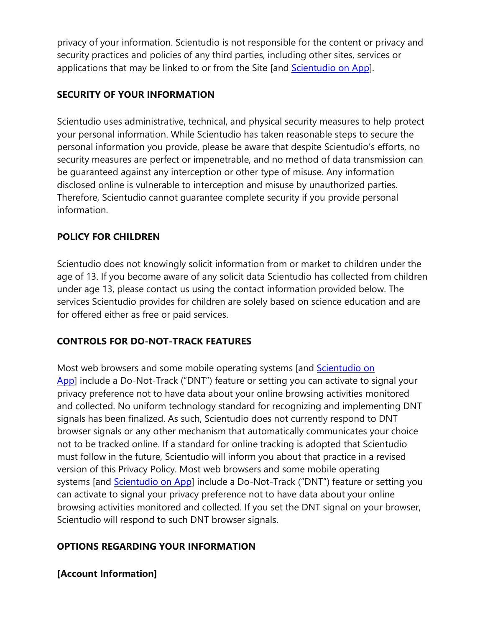privacy of your information. Scientudio is not responsible for the content or privacy and security practices and policies of any third parties, including other sites, services or applications that may be linked to or from the Site [and [Scientudio on App\]](https://apps.wix.com/place-invites/invite-lp/fe001bfa-99cd-4231-b8e3-62ac01fd1079?ref=pre_banner).

## **SECURITY OF YOUR INFORMATION**

Scientudio uses administrative, technical, and physical security measures to help protect your personal information. While Scientudio has taken reasonable steps to secure the personal information you provide, please be aware that despite Scientudio's efforts, no security measures are perfect or impenetrable, and no method of data transmission can be guaranteed against any interception or other type of misuse. Any information disclosed online is vulnerable to interception and misuse by unauthorized parties. Therefore, Scientudio cannot guarantee complete security if you provide personal information.

## **POLICY FOR CHILDREN**

Scientudio does not knowingly solicit information from or market to children under the age of 13. If you become aware of any solicit data Scientudio has collected from children under age 13, please contact us using the contact information provided below. The services Scientudio provides for children are solely based on science education and are for offered either as free or paid services.

### **CONTROLS FOR DO-NOT-TRACK FEATURES**

Most web browsers and some mobile operating systems [and [Scientudio on](https://apps.wix.com/place-invites/invite-lp/fe001bfa-99cd-4231-b8e3-62ac01fd1079?ref=pre_banner)  [App\]](https://apps.wix.com/place-invites/invite-lp/fe001bfa-99cd-4231-b8e3-62ac01fd1079?ref=pre_banner) include a Do-Not-Track ("DNT") feature or setting you can activate to signal your privacy preference not to have data about your online browsing activities monitored and collected. No uniform technology standard for recognizing and implementing DNT signals has been finalized. As such, Scientudio does not currently respond to DNT browser signals or any other mechanism that automatically communicates your choice not to be tracked online. If a standard for online tracking is adopted that Scientudio must follow in the future, Scientudio will inform you about that practice in a revised version of this Privacy Policy. Most web browsers and some mobile operating systems [and **Scientudio on App**] include a Do-Not-Track ("DNT") feature or setting you can activate to signal your privacy preference not to have data about your online browsing activities monitored and collected. If you set the DNT signal on your browser, Scientudio will respond to such DNT browser signals.

### **OPTIONS REGARDING YOUR INFORMATION**

### **[Account Information]**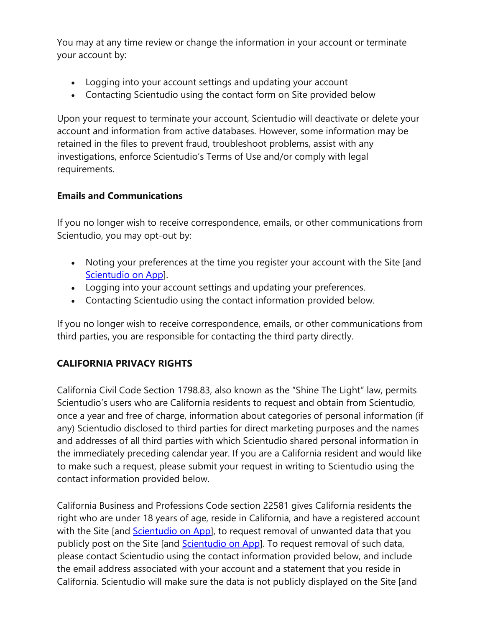You may at any time review or change the information in your account or terminate your account by:

- Logging into your account settings and updating your account
- Contacting Scientudio using the contact form on Site provided below

Upon your request to terminate your account, Scientudio will deactivate or delete your account and information from active databases. However, some information may be retained in the files to prevent fraud, troubleshoot problems, assist with any investigations, enforce Scientudio's Terms of Use and/or comply with legal requirements.

### **Emails and Communications**

If you no longer wish to receive correspondence, emails, or other communications from Scientudio, you may opt-out by:

- Noting your preferences at the time you register your account with the Site [and [Scientudio on App\]](https://apps.wix.com/place-invites/invite-lp/fe001bfa-99cd-4231-b8e3-62ac01fd1079?ref=pre_banner).
- Logging into your account settings and updating your preferences.
- Contacting Scientudio using the contact information provided below.

If you no longer wish to receive correspondence, emails, or other communications from third parties, you are responsible for contacting the third party directly.

### **CALIFORNIA PRIVACY RIGHTS**

California Civil Code Section 1798.83, also known as the "Shine The Light" law, permits Scientudio's users who are California residents to request and obtain from Scientudio, once a year and free of charge, information about categories of personal information (if any) Scientudio disclosed to third parties for direct marketing purposes and the names and addresses of all third parties with which Scientudio shared personal information in the immediately preceding calendar year. If you are a California resident and would like to make such a request, please submit your request in writing to Scientudio using the contact information provided below.

California Business and Professions Code section 22581 gives California residents the right who are under 18 years of age, reside in California, and have a registered account with the Site [and [Scientudio on App\]](https://apps.wix.com/place-invites/invite-lp/fe001bfa-99cd-4231-b8e3-62ac01fd1079?ref=pre_banner), to request removal of unwanted data that you publicly post on the Site [and [Scientudio on App\]](https://apps.wix.com/place-invites/invite-lp/fe001bfa-99cd-4231-b8e3-62ac01fd1079?ref=pre_banner). To request removal of such data, please contact Scientudio using the contact information provided below, and include the email address associated with your account and a statement that you reside in California. Scientudio will make sure the data is not publicly displayed on the Site [and